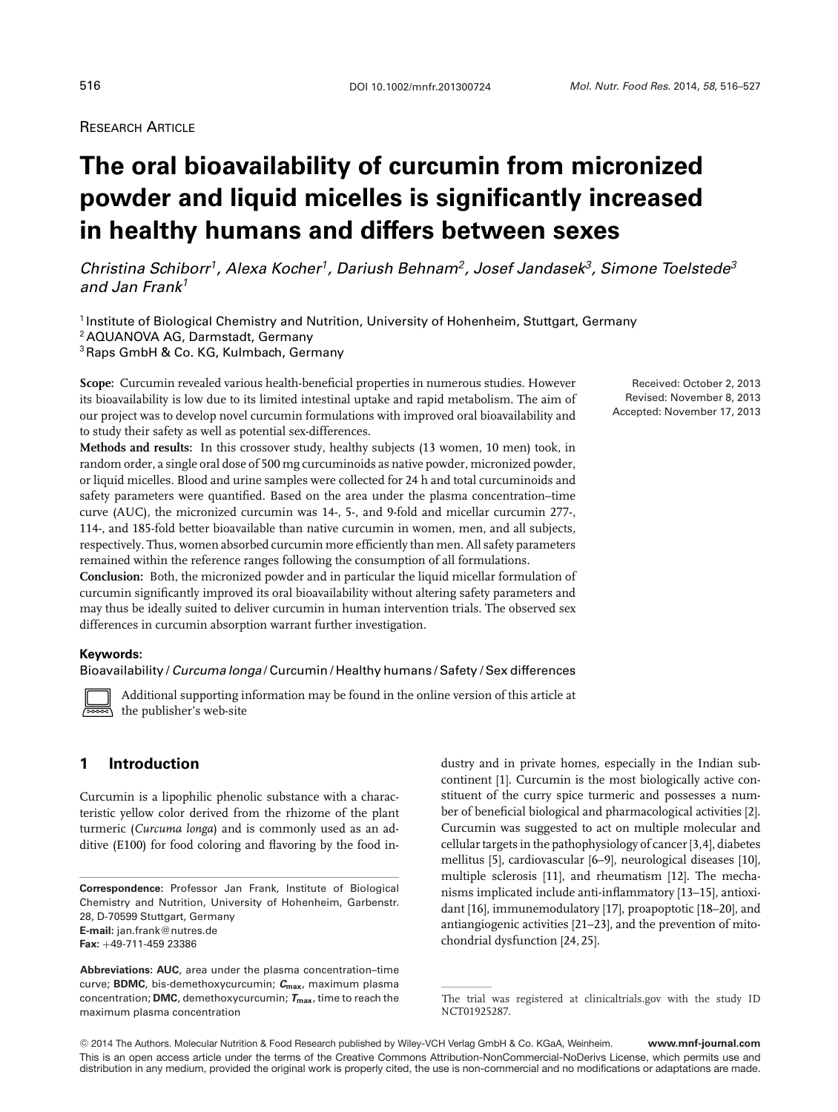# **RESEARCH ARTICLE**

# **The oral bioavailability of curcumin from micronized powder and liquid micelles is significantly increased in healthy humans and differs between sexes**

*Christina Schiborr1, Alexa Kocher1, Dariush Behnam2, Josef Jandasek3, Simone Toelstede3 and Jan Frank<sup>1</sup>*

<sup>1</sup> Institute of Biological Chemistry and Nutrition, University of Hohenheim, Stuttgart, Germany <sup>2</sup> AQUANOVA AG, Darmstadt, Germany

3Raps GmbH & Co. KG, Kulmbach, Germany

**Scope:** Curcumin revealed various health-beneficial properties in numerous studies. However its bioavailability is low due to its limited intestinal uptake and rapid metabolism. The aim of our project was to develop novel curcumin formulations with improved oral bioavailability and to study their safety as well as potential sex-differences.

**Methods and results:** In this crossover study, healthy subjects (13 women, 10 men) took, in random order, a single oral dose of 500 mg curcuminoids as native powder, micronized powder, or liquid micelles. Blood and urine samples were collected for 24 h and total curcuminoids and safety parameters were quantified. Based on the area under the plasma concentration–time curve (AUC), the micronized curcumin was 14-, 5-, and 9-fold and micellar curcumin 277-, 114-, and 185-fold better bioavailable than native curcumin in women, men, and all subjects, respectively. Thus, women absorbed curcumin more efficiently than men. All safety parameters remained within the reference ranges following the consumption of all formulations.

**Conclusion:** Both, the micronized powder and in particular the liquid micellar formulation of curcumin significantly improved its oral bioavailability without altering safety parameters and may thus be ideally suited to deliver curcumin in human intervention trials. The observed sex differences in curcumin absorption warrant further investigation.

#### **Keywords:**

 $\Box$ 

Bioavailability / *Curcuma longa* / Curcumin / Healthy humans / Safety / Sex differences

Additional supporting information may be found in the online version of this article at the publisher's web-site

# **1 Introduction**

Curcumin is a lipophilic phenolic substance with a characteristic yellow color derived from the rhizome of the plant turmeric (*Curcuma longa*) and is commonly used as an additive (E100) for food coloring and flavoring by the food industry and in private homes, especially in the Indian subcontinent [1]. Curcumin is the most biologically active constituent of the curry spice turmeric and possesses a number of beneficial biological and pharmacological activities [2]. Curcumin was suggested to act on multiple molecular and cellular targets in the pathophysiology of cancer [3,4], diabetes mellitus [5], cardiovascular [6–9], neurological diseases [10], multiple sclerosis [11], and rheumatism [12]. The mechanisms implicated include anti-inflammatory [13–15], antioxidant [16], immunemodulatory [17], proapoptotic [18–20], and antiangiogenic activities [21–23], and the prevention of mitochondrial dysfunction [24, 25].

-<sup>C</sup> 2014 The Authors. Molecular Nutrition & Food Research published by Wiley-VCH Verlag GmbH & Co. KGaA, Weinheim. **www.mnf-journal.com** This is an open access article under the terms of the [Creative Commons Attribution-NonCommercial-NoDerivs](http://creativecommons.org/licenses/by-nc-nd/3.0/) License, which permits use and distribution in any medium, provided the original work is properly cited, the use is non-commercial and no modifications or adaptations are made.

Received: October 2, 2013 Revised: November 8, 2013 Accepted: November 17, 2013

**Correspondence:** Professor Jan Frank, Institute of Biological Chemistry and Nutrition, University of Hohenheim, Garbenstr. 28, D-70599 Stuttgart, Germany **E-mail:** jan.frank@nutres.de **Fax:** +49-711-459 23386

**Abbreviations: AUC**, area under the plasma concentration–time curve; **BDMC**, bis-demethoxycurcumin; *C***max**, maximum plasma concentration; **DMC**, demethoxycurcumin; *T***max**, time to reach the maximum plasma concentration

The trial was registered at clinicaltrials.gov with the study ID NCT01925287.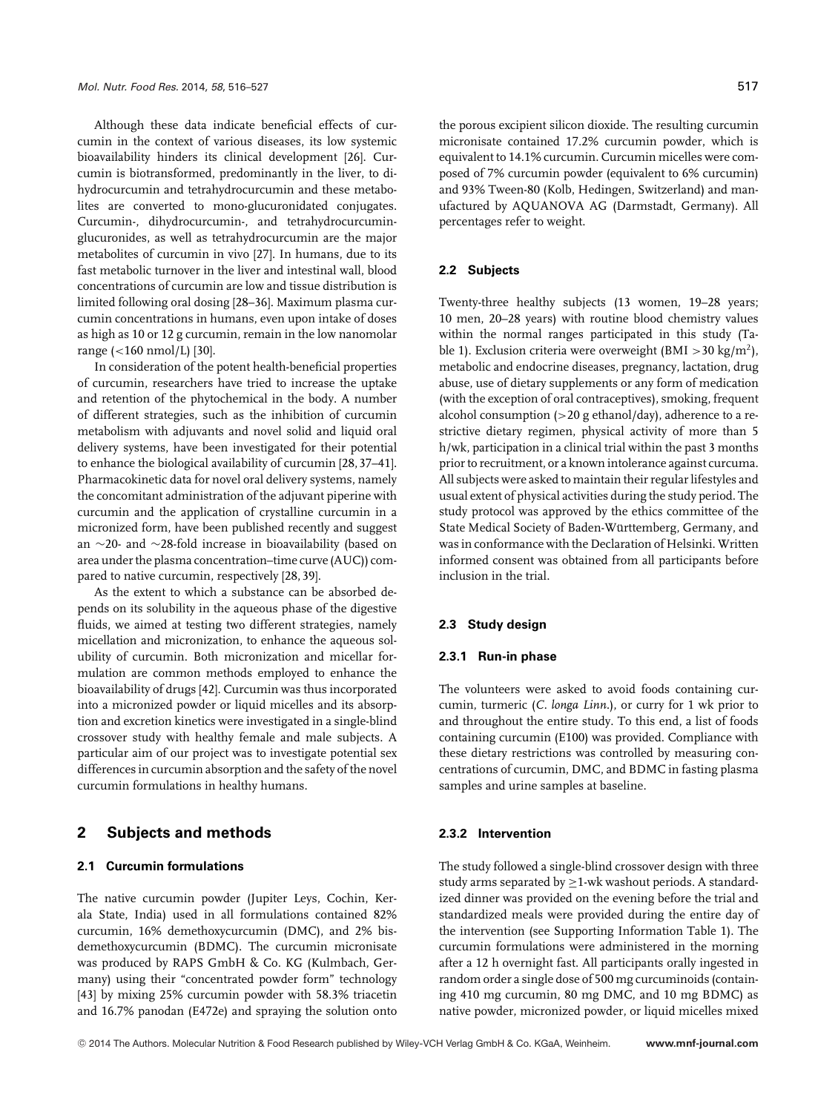Although these data indicate beneficial effects of curcumin in the context of various diseases, its low systemic bioavailability hinders its clinical development [26]. Curcumin is biotransformed, predominantly in the liver, to dihydrocurcumin and tetrahydrocurcumin and these metabolites are converted to mono-glucuronidated conjugates. Curcumin-, dihydrocurcumin-, and tetrahydrocurcuminglucuronides, as well as tetrahydrocurcumin are the major metabolites of curcumin in vivo [27]. In humans, due to its fast metabolic turnover in the liver and intestinal wall, blood concentrations of curcumin are low and tissue distribution is limited following oral dosing [28–36]. Maximum plasma curcumin concentrations in humans, even upon intake of doses as high as 10 or 12 g curcumin, remain in the low nanomolar range (<160 nmol/L) [30].

In consideration of the potent health-beneficial properties of curcumin, researchers have tried to increase the uptake and retention of the phytochemical in the body. A number of different strategies, such as the inhibition of curcumin metabolism with adjuvants and novel solid and liquid oral delivery systems, have been investigated for their potential to enhance the biological availability of curcumin [28, 37–41]. Pharmacokinetic data for novel oral delivery systems, namely the concomitant administration of the adjuvant piperine with curcumin and the application of crystalline curcumin in a micronized form, have been published recently and suggest an ∼20- and ∼28-fold increase in bioavailability (based on area under the plasma concentration–time curve (AUC)) compared to native curcumin, respectively [28, 39].

As the extent to which a substance can be absorbed depends on its solubility in the aqueous phase of the digestive fluids, we aimed at testing two different strategies, namely micellation and micronization, to enhance the aqueous solubility of curcumin. Both micronization and micellar formulation are common methods employed to enhance the bioavailability of drugs [42]. Curcumin was thus incorporated into a micronized powder or liquid micelles and its absorption and excretion kinetics were investigated in a single-blind crossover study with healthy female and male subjects. A particular aim of our project was to investigate potential sex differences in curcumin absorption and the safety of the novel curcumin formulations in healthy humans.

# **2 Subjects and methods**

#### **2.1 Curcumin formulations**

The native curcumin powder (Jupiter Leys, Cochin, Kerala State, India) used in all formulations contained 82% curcumin, 16% demethoxycurcumin (DMC), and 2% bisdemethoxycurcumin (BDMC). The curcumin micronisate was produced by RAPS GmbH & Co. KG (Kulmbach, Germany) using their "concentrated powder form" technology [43] by mixing 25% curcumin powder with 58.3% triacetin and 16.7% panodan (E472e) and spraying the solution onto

the porous excipient silicon dioxide. The resulting curcumin micronisate contained 17.2% curcumin powder, which is equivalent to 14.1% curcumin. Curcumin micelles were composed of 7% curcumin powder (equivalent to 6% curcumin) and 93% Tween-80 (Kolb, Hedingen, Switzerland) and manufactured by AQUANOVA AG (Darmstadt, Germany). All percentages refer to weight.

#### **2.2 Subjects**

Twenty-three healthy subjects (13 women, 19–28 years; 10 men, 20–28 years) with routine blood chemistry values within the normal ranges participated in this study (Table 1). Exclusion criteria were overweight (BMI > 30 kg/m<sup>2</sup>), metabolic and endocrine diseases, pregnancy, lactation, drug abuse, use of dietary supplements or any form of medication (with the exception of oral contraceptives), smoking, frequent alcohol consumption (>20 g ethanol/day), adherence to a restrictive dietary regimen, physical activity of more than 5 h/wk, participation in a clinical trial within the past 3 months prior to recruitment, or a known intolerance against curcuma. All subjects were asked to maintain their regular lifestyles and usual extent of physical activities during the study period. The study protocol was approved by the ethics committee of the State Medical Society of Baden-Württemberg, Germany, and was in conformance with the Declaration of Helsinki. Written informed consent was obtained from all participants before inclusion in the trial.

#### **2.3 Study design**

#### **2.3.1 Run-in phase**

The volunteers were asked to avoid foods containing curcumin, turmeric (*C. longa Linn.*), or curry for 1 wk prior to and throughout the entire study. To this end, a list of foods containing curcumin (E100) was provided. Compliance with these dietary restrictions was controlled by measuring concentrations of curcumin, DMC, and BDMC in fasting plasma samples and urine samples at baseline.

# **2.3.2 Intervention**

The study followed a single-blind crossover design with three study arms separated by  $\geq$ 1-wk washout periods. A standardized dinner was provided on the evening before the trial and standardized meals were provided during the entire day of the intervention (see Supporting Information Table 1). The curcumin formulations were administered in the morning after a 12 h overnight fast. All participants orally ingested in random order a single dose of 500 mg curcuminoids (containing 410 mg curcumin, 80 mg DMC, and 10 mg BDMC) as native powder, micronized powder, or liquid micelles mixed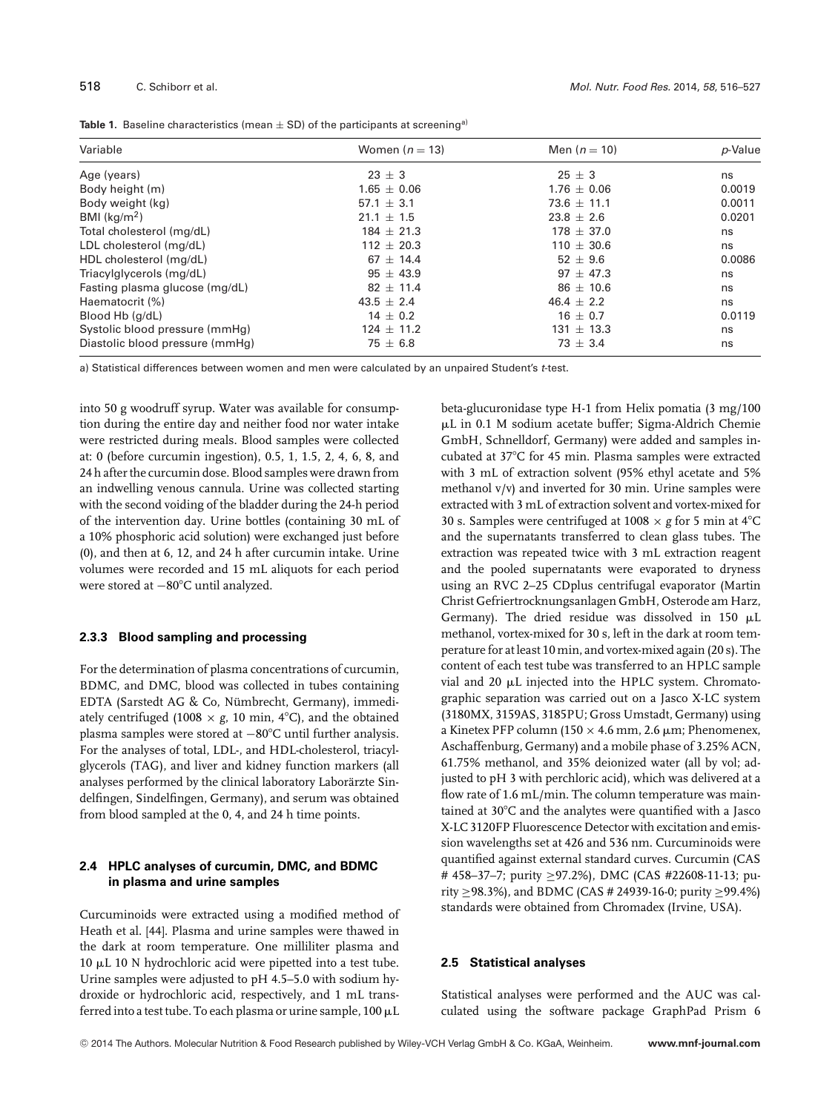| Variable                        | Women $(n = 13)$ | Men $(n = 10)$  | p-Value |
|---------------------------------|------------------|-----------------|---------|
| Age (years)                     | $23 \pm 3$       | $25 \pm 3$      | ns      |
| Body height (m)                 | $1.65 + 0.06$    | $1.76 \pm 0.06$ | 0.0019  |
| Body weight (kg)                | $57.1 + 3.1$     | $73.6 \pm 11.1$ | 0.0011  |
| BMI $\frac{kg}{m^2}$            | $21.1 \pm 1.5$   | $23.8 + 2.6$    | 0.0201  |
| Total cholesterol (mg/dL)       | $184 + 21.3$     | $178 + 37.0$    | ns      |
| LDL cholesterol (mg/dL)         | $112 \pm 20.3$   | $110 \pm 30.6$  | ns      |
| HDL cholesterol (mg/dL)         | $67 + 14.4$      | $52 + 9.6$      | 0.0086  |
| Triacylglycerols (mg/dL)        | $95 \pm 43.9$    | $97 + 47.3$     | ns      |
| Fasting plasma glucose (mg/dL)  | $82 \pm 11.4$    | $86 \pm 10.6$   | ns      |
| Haematocrit (%)                 | $43.5 \pm 2.4$   | $46.4 \pm 2.2$  | ns      |
| Blood Hb (g/dL)                 | $14 \pm 0.2$     | $16 \pm 0.7$    | 0.0119  |
| Systolic blood pressure (mmHg)  | $124 \pm 11.2$   | $131 \pm 13.3$  | ns      |
| Diastolic blood pressure (mmHg) | $75 \pm 6.8$     | $73 + 3.4$      | ns      |

**Table 1.** Baseline characteristics (mean  $\pm$  SD) of the participants at screening<sup>a)</sup>

a) Statistical differences between women and men were calculated by an unpaired Student's *t*-test.

into 50 g woodruff syrup. Water was available for consumption during the entire day and neither food nor water intake were restricted during meals. Blood samples were collected at: 0 (before curcumin ingestion), 0.5, 1, 1.5, 2, 4, 6, 8, and 24 h after the curcumin dose. Blood samples were drawn from an indwelling venous cannula. Urine was collected starting with the second voiding of the bladder during the 24-h period of the intervention day. Urine bottles (containing 30 mL of a 10% phosphoric acid solution) were exchanged just before (0), and then at 6, 12, and 24 h after curcumin intake. Urine volumes were recorded and 15 mL aliquots for each period were stored at −80°C until analyzed.

#### **2.3.3 Blood sampling and processing**

For the determination of plasma concentrations of curcumin, BDMC, and DMC, blood was collected in tubes containing EDTA (Sarstedt AG & Co, Nümbrecht, Germany), immediately centrifuged (1008  $\times$  *g*, 10 min, 4°C), and the obtained plasma samples were stored at −80°C until further analysis. For the analyses of total, LDL-, and HDL-cholesterol, triacylglycerols (TAG), and liver and kidney function markers (all analyses performed by the clinical laboratory Laborarzte Sindelfingen, Sindelfingen, Germany), and serum was obtained from blood sampled at the 0, 4, and 24 h time points.

# **2.4 HPLC analyses of curcumin, DMC, and BDMC in plasma and urine samples**

Curcuminoids were extracted using a modified method of Heath et al. [44]. Plasma and urine samples were thawed in the dark at room temperature. One milliliter plasma and  $10 \mu L$  10 N hydrochloric acid were pipetted into a test tube. Urine samples were adjusted to pH 4.5–5.0 with sodium hydroxide or hydrochloric acid, respectively, and 1 mL transferred into a test tube. To each plasma or urine sample,  $100 \mu L$  beta-glucuronidase type H-1 from Helix pomatia (3 mg/100 L in 0.1 M sodium acetate buffer; Sigma-Aldrich Chemie GmbH, Schnelldorf, Germany) were added and samples incubated at 37°C for 45 min. Plasma samples were extracted with 3 mL of extraction solvent (95% ethyl acetate and 5% methanol v/v) and inverted for 30 min. Urine samples were extracted with 3 mL of extraction solvent and vortex-mixed for 30 s. Samples were centrifuged at  $1008 \times g$  for 5 min at 4 $^{\circ}$ C and the supernatants transferred to clean glass tubes. The extraction was repeated twice with 3 mL extraction reagent and the pooled supernatants were evaporated to dryness using an RVC 2–25 CDplus centrifugal evaporator (Martin Christ Gefriertrocknungsanlagen GmbH, Osterode am Harz, Germany). The dried residue was dissolved in 150  $\mu$ L methanol, vortex-mixed for 30 s, left in the dark at room temperature for at least 10 min, and vortex-mixed again (20 s). The content of each test tube was transferred to an HPLC sample vial and 20  $\mu$ L injected into the HPLC system. Chromatographic separation was carried out on a Jasco X-LC system (3180MX, 3159AS, 3185PU; Gross Umstadt, Germany) using a Kinetex PFP column (150  $\times$  4.6 mm, 2.6 µm; Phenomenex, Aschaffenburg, Germany) and a mobile phase of 3.25% ACN, 61.75% methanol, and 35% deionized water (all by vol; adjusted to pH 3 with perchloric acid), which was delivered at a flow rate of 1.6 mL/min. The column temperature was maintained at 30°C and the analytes were quantified with a Jasco X-LC 3120FP Fluorescence Detector with excitation and emission wavelengths set at 426 and 536 nm. Curcuminoids were quantified against external standard curves. Curcumin (CAS # 458–37–7; purity ≥97.2%), DMC (CAS #22608-11-13; purity ≥98.3%), and BDMC (CAS # 24939-16-0; purity ≥99.4%) standards were obtained from Chromadex (Irvine, USA).

#### **2.5 Statistical analyses**

Statistical analyses were performed and the AUC was calculated using the software package GraphPad Prism 6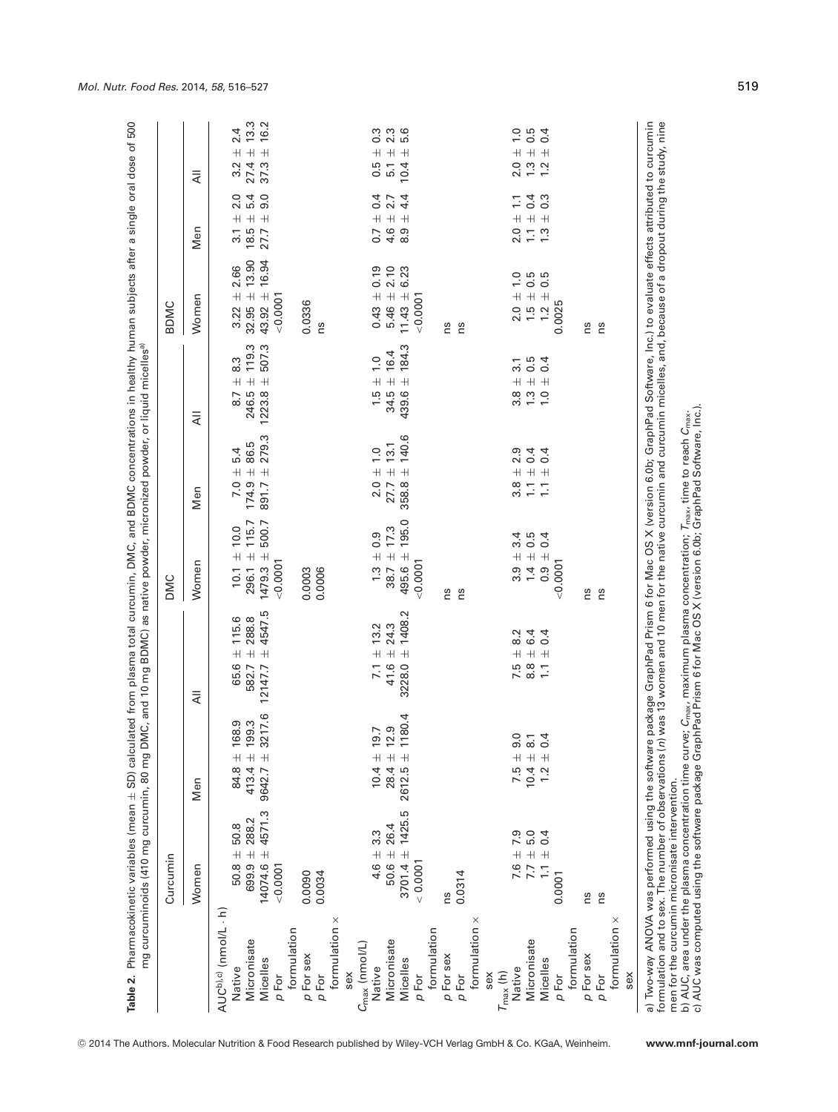|                                                                                                                                                                                                                                                                   | Curcumin                                       |                                   |                                                                                                                                                                                                                                  | <b>DMC</b>                                |                                          |                                                         | BDMC                               |                                                |                                                            |
|-------------------------------------------------------------------------------------------------------------------------------------------------------------------------------------------------------------------------------------------------------------------|------------------------------------------------|-----------------------------------|----------------------------------------------------------------------------------------------------------------------------------------------------------------------------------------------------------------------------------|-------------------------------------------|------------------------------------------|---------------------------------------------------------|------------------------------------|------------------------------------------------|------------------------------------------------------------|
|                                                                                                                                                                                                                                                                   | Women                                          | Men                               | ₹                                                                                                                                                                                                                                | Women                                     | Men                                      | ₹                                                       | Women                              | Men                                            | ₹                                                          |
| AUC <sup>b),c)</sup> (nmol/L · h)                                                                                                                                                                                                                                 |                                                |                                   |                                                                                                                                                                                                                                  |                                           |                                          |                                                         |                                    |                                                |                                                            |
| Native                                                                                                                                                                                                                                                            | 50.8<br>$50.8 \pm$                             | 68.9<br>$^{\rm +}$<br>84.8        | 115.6<br>$\overline{+}$<br>65.6                                                                                                                                                                                                  | 10.0<br>$10.1 \pm$                        | 5.4<br>$\overline{+}$<br>7.0             | 8.3<br>$\overline{+}$<br>8.7                            | 2.66<br>$\overline{+}$<br>3.22     | $\circ$<br>2.<br>$^+$<br>$\overline{3}$ .      | 24<br>$\overline{+}$<br>3.2                                |
| Micronisate                                                                                                                                                                                                                                                       | 288.2<br>$699.9 +$                             | 99.3<br>413.4 $\pm$               | 288.8<br>$\overline{+}$<br>582.7                                                                                                                                                                                                 | 115.7<br>$296.1 \pm$                      | 86.5<br>$\overline{+}$<br>174.9          | 119.3<br>$\overline{+}$<br>246.5                        | 13.90<br>$32.95 \pm$               | 5.4<br>$\overline{+}$<br>18.5                  | $13.3$<br>$16.2$<br>$\overline{+}$<br>27.4                 |
| Micelles                                                                                                                                                                                                                                                          | 4571.3<br>$14074.6 \pm$                        | 17.6<br>$\overline{+}$<br>9642.7  | 4547.5<br>$+$<br>12147.7                                                                                                                                                                                                         | 500.7<br>$\overline{+}$<br>1479.3         | 279.3<br>$+$<br>891.7                    | 507.3<br>$\overline{+}$<br>1223.8                       | 16.94<br>$\overline{+}$<br>43.92   | 9.0<br>$+$<br>27.7                             | $+$<br>37.3                                                |
| p For                                                                                                                                                                                                                                                             | $-0.0001$                                      |                                   |                                                                                                                                                                                                                                  | 0.0001                                    |                                          |                                                         | 0.0001                             |                                                |                                                            |
| formulation                                                                                                                                                                                                                                                       |                                                |                                   |                                                                                                                                                                                                                                  |                                           |                                          |                                                         |                                    |                                                |                                                            |
| p For sex                                                                                                                                                                                                                                                         | 0.0090                                         |                                   |                                                                                                                                                                                                                                  | 0.0003                                    |                                          |                                                         | 0.0336                             |                                                |                                                            |
| p For                                                                                                                                                                                                                                                             | 0.0034                                         |                                   |                                                                                                                                                                                                                                  | 0.0006                                    |                                          |                                                         | Ωů                                 |                                                |                                                            |
| formulation x                                                                                                                                                                                                                                                     |                                                |                                   |                                                                                                                                                                                                                                  |                                           |                                          |                                                         |                                    |                                                |                                                            |
| sex                                                                                                                                                                                                                                                               |                                                |                                   |                                                                                                                                                                                                                                  |                                           |                                          |                                                         |                                    |                                                |                                                            |
| $C_{\text{max}}$ (nmol/L)                                                                                                                                                                                                                                         |                                                |                                   |                                                                                                                                                                                                                                  |                                           |                                          |                                                         |                                    |                                                |                                                            |
| Native                                                                                                                                                                                                                                                            | $4.6 = 3.3$                                    | 9.7<br>$\overline{+}$<br>10.4     | 13.2<br>$\!+\!$<br>7.1                                                                                                                                                                                                           | 0.9                                       | $\frac{0}{1}$<br>$\overline{+}$          | $\frac{0}{1}$<br>$\overline{+}$                         | 0.19<br>$\overline{+}$<br>0.43     | 0.4<br>$\pm$<br>0.7                            | $^+$                                                       |
| Micronisate                                                                                                                                                                                                                                                       | $50.6 \pm 26.4$                                | 2.9<br>$\overline{+}$<br>28.4     | 24.3<br>$\overline{+}$<br>41.6                                                                                                                                                                                                   | 17.3<br>$+$ + 3.5<br>38.7                 | 13.1<br>$\overline{+}$<br>27.7           | 16.4<br>$\overline{+}$<br>$1.5$<br>34.5                 | 2.10<br>$5.46 \pm$                 | 2.7<br>$\overline{+}$<br>4.6                   | 8<br>0 2 1<br>0 2<br>$+$<br>0.5<br>5.1                     |
| Micelles                                                                                                                                                                                                                                                          | 1425.5<br>$3701.4 \pm$                         | 180.4<br>$\overline{+}$<br>2612.5 | Ņ<br>1408.<br>$\overline{+}$<br>3228.0                                                                                                                                                                                           | 195.0<br>$\overline{+}$<br>495.6          | 140.6<br>$\overline{+}$<br>358.8         | 184.3<br>$\overline{+}$<br>439.6                        | 6.23<br>$\overline{+}$<br>11.43    | 4.4<br>$\overline{+}$<br>8.9                   | $+$<br>10.4                                                |
| p For                                                                                                                                                                                                                                                             | < 0.0001                                       |                                   |                                                                                                                                                                                                                                  | 0.0001                                    |                                          |                                                         | < 0.0001                           |                                                |                                                            |
| formulation                                                                                                                                                                                                                                                       |                                                |                                   |                                                                                                                                                                                                                                  |                                           |                                          |                                                         |                                    |                                                |                                                            |
| p For sex                                                                                                                                                                                                                                                         | Su                                             |                                   |                                                                                                                                                                                                                                  | ns                                        |                                          |                                                         | ns                                 |                                                |                                                            |
| p For                                                                                                                                                                                                                                                             | 0.0314                                         |                                   |                                                                                                                                                                                                                                  | ns                                        |                                          |                                                         | ns                                 |                                                |                                                            |
| ×<br>formulation                                                                                                                                                                                                                                                  |                                                |                                   |                                                                                                                                                                                                                                  |                                           |                                          |                                                         |                                    |                                                |                                                            |
| sex                                                                                                                                                                                                                                                               |                                                |                                   |                                                                                                                                                                                                                                  |                                           |                                          |                                                         |                                    |                                                |                                                            |
| $T_{\text{max}}$ (h)                                                                                                                                                                                                                                              |                                                |                                   |                                                                                                                                                                                                                                  |                                           |                                          |                                                         |                                    |                                                |                                                            |
| Native                                                                                                                                                                                                                                                            | $7.6 \pm 7.9$<br>$7.7 \pm 5.0$                 | $\circ$ $\sim$<br>თ<br>$7.5 \pm$  | 8.2<br>$\overline{+}$<br>$7.80 - 1.5$                                                                                                                                                                                            | 3.4<br>$3.9 +$<br>1.4                     | 2.9<br>$\overline{+}$<br>$3.7$<br>$-2.8$ | 3.1<br>$\overline{+}$<br>$3.\overline{8}$               | 0<br>0<br>0<br>0<br>0<br>$2.0 +$   | $\frac{1}{1}$<br>$\overline{+}$<br>2.0         | $\overline{1}$ . O<br>$\overline{+}$<br>$20.72$<br>$21.72$ |
| Micronisate                                                                                                                                                                                                                                                       |                                                | $10.4 \pm$                        | 6.4<br>$+$ $+$                                                                                                                                                                                                                   | 0.5                                       | 0.4<br>$+ +$                             | $0.\overline{4}$<br>$\overline{+}$<br>$\frac{0}{1}$ . 0 | $\overline{+}$<br>$1.\overline{5}$ | 0.4<br>$\!$ $\!$ $\!$ $\!$<br>$\overline{1}$ . | $0.5$<br>0.4<br>$+$ $+$                                    |
| Micelles                                                                                                                                                                                                                                                          | $\pm 0.4$<br>$\overline{1}$ .                  | 4<br>$\frac{0}{+}$<br>1.2         | 0.4                                                                                                                                                                                                                              | 0.4<br>$\overline{+}$<br>$0.\overline{9}$ | 0.4<br>$\frac{1}{2}$                     | $\overline{+}$                                          | $\overline{+}$<br>1.2              | $0.\overline{3}$<br>$+$<br>1.3                 |                                                            |
| p For                                                                                                                                                                                                                                                             | 0.0001                                         |                                   |                                                                                                                                                                                                                                  | < 0.0001                                  |                                          |                                                         | 0.0025                             |                                                |                                                            |
| formulation                                                                                                                                                                                                                                                       |                                                |                                   |                                                                                                                                                                                                                                  |                                           |                                          |                                                         |                                    |                                                |                                                            |
| p For sex                                                                                                                                                                                                                                                         | ns                                             |                                   |                                                                                                                                                                                                                                  | Ωů                                        |                                          |                                                         | Ωu                                 |                                                |                                                            |
| p For                                                                                                                                                                                                                                                             | ns                                             |                                   |                                                                                                                                                                                                                                  | ns                                        |                                          |                                                         | ns                                 |                                                |                                                            |
| ×<br>formulation                                                                                                                                                                                                                                                  |                                                |                                   |                                                                                                                                                                                                                                  |                                           |                                          |                                                         |                                    |                                                |                                                            |
| sex                                                                                                                                                                                                                                                               |                                                |                                   |                                                                                                                                                                                                                                  |                                           |                                          |                                                         |                                    |                                                |                                                            |
|                                                                                                                                                                                                                                                                   | men for the curcumin micronisate intervention. |                                   | a) Two-way ANOVA was performed using the software package GraphPad Prism 6 for Mac OS X (version 6.0b; GraphPad Software, Inc.) to evaluate effects attributed to curcumin<br>formulation and to sex. The number of observations |                                           |                                          |                                                         |                                    |                                                |                                                            |
| b) AUC, area under the plasma concentration time curve; C <sub>max</sub> , maximum plasma concentration; T <sub>max</sub> , time to reach C <sub>max</sub> .<br>c) AUC was computed using the software package GraphPad Prism 6 for Mac OS X (version 6.0b; Graph |                                                |                                   |                                                                                                                                                                                                                                  |                                           |                                          |                                                         |                                    |                                                |                                                            |

*Mol. Nutr. Food Res.* 2014, *58*, 516–527 519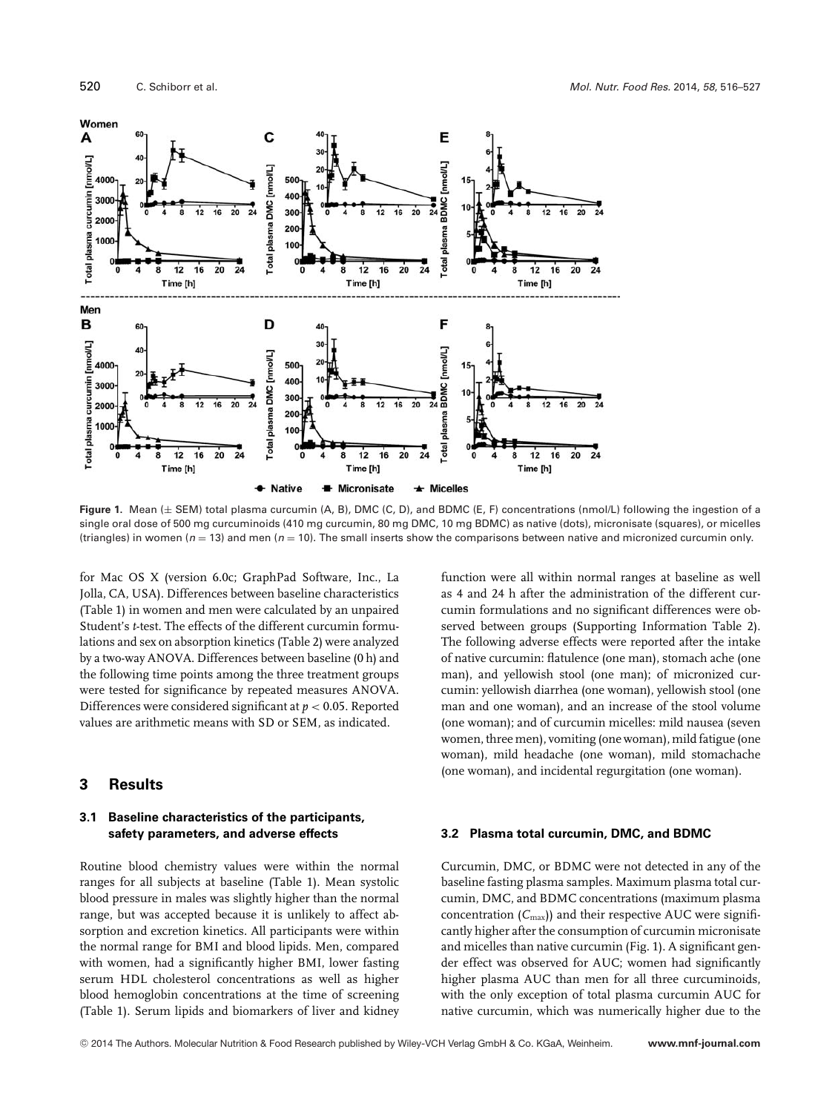

**Figure 1.** Mean (± SEM) total plasma curcumin (A, B), DMC (C, D), and BDMC (E, F) concentrations (nmol/L) following the ingestion of a single oral dose of 500 mg curcuminoids (410 mg curcumin, 80 mg DMC, 10 mg BDMC) as native (dots), micronisate (squares), or micelles (triangles) in women (*n* = 13) and men (*n* = 10). The small inserts show the comparisons between native and micronized curcumin only.

for Mac OS X (version 6.0c; GraphPad Software, Inc., La Jolla, CA, USA). Differences between baseline characteristics (Table 1) in women and men were calculated by an unpaired Student's *t*-test. The effects of the different curcumin formulations and sex on absorption kinetics (Table 2) were analyzed by a two-way ANOVA. Differences between baseline (0 h) and the following time points among the three treatment groups were tested for significance by repeated measures ANOVA. Differences were considered significant at *p* < 0.05. Reported values are arithmetic means with SD or SEM, as indicated.

## **3 Results**

#### **3.1 Baseline characteristics of the participants, safety parameters, and adverse effects**

Routine blood chemistry values were within the normal ranges for all subjects at baseline (Table 1). Mean systolic blood pressure in males was slightly higher than the normal range, but was accepted because it is unlikely to affect absorption and excretion kinetics. All participants were within the normal range for BMI and blood lipids. Men, compared with women, had a significantly higher BMI, lower fasting serum HDL cholesterol concentrations as well as higher blood hemoglobin concentrations at the time of screening (Table 1). Serum lipids and biomarkers of liver and kidney function were all within normal ranges at baseline as well as 4 and 24 h after the administration of the different curcumin formulations and no significant differences were observed between groups (Supporting Information Table 2). The following adverse effects were reported after the intake of native curcumin: flatulence (one man), stomach ache (one man), and yellowish stool (one man); of micronized curcumin: yellowish diarrhea (one woman), yellowish stool (one man and one woman), and an increase of the stool volume (one woman); and of curcumin micelles: mild nausea (seven women, three men), vomiting (one woman), mild fatigue (one woman), mild headache (one woman), mild stomachache (one woman), and incidental regurgitation (one woman).

#### **3.2 Plasma total curcumin, DMC, and BDMC**

Curcumin, DMC, or BDMC were not detected in any of the baseline fasting plasma samples. Maximum plasma total curcumin, DMC, and BDMC concentrations (maximum plasma concentration  $(C_{\text{max}})$ ) and their respective AUC were significantly higher after the consumption of curcumin micronisate and micelles than native curcumin (Fig. 1). A significant gender effect was observed for AUC; women had significantly higher plasma AUC than men for all three curcuminoids, with the only exception of total plasma curcumin AUC for native curcumin, which was numerically higher due to the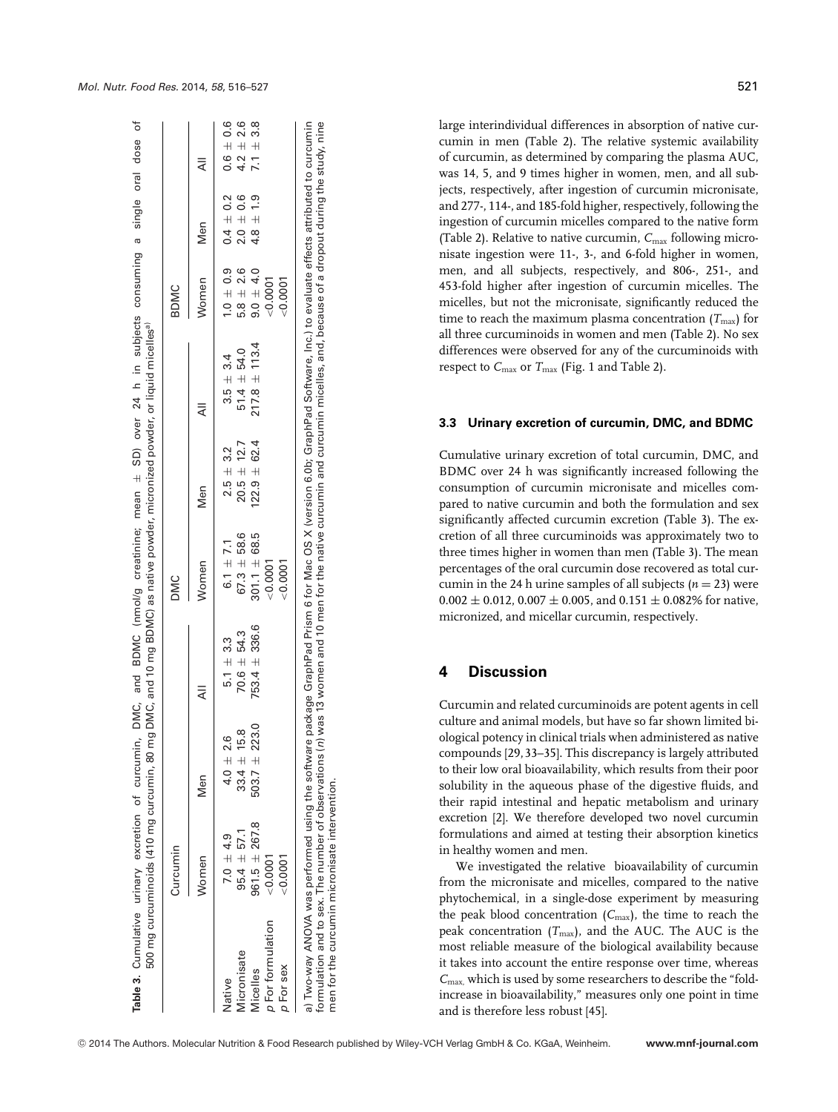|                                | Curcumin          |                     |                   | DMC                |                  |                   | <b>BDMC</b>      |               |               |
|--------------------------------|-------------------|---------------------|-------------------|--------------------|------------------|-------------------|------------------|---------------|---------------|
|                                | Women             | Nen                 |                   | Women              | Men              |                   | Women            | Men           |               |
| Native                         | $7.0 \pm 4.9$     | $4.0 \pm 2.6$       | $5.1 + 3.3$       | $6.1 \pm 7.1$      | $2.5 \pm 3.2$    | $3.5 \pm 3.4$     | $1.0 \pm 0.9$    | $0.4 \pm 0.2$ | $0.6 \pm 0.6$ |
| Micronisate                    | $95.4 \pm 57.1$   | œ<br>$33.4 \pm 15.$ | $70.6 \pm 54.3$   | $67.3 + 58.6$      | $20.5 \pm 12.7$  | $51.4 \pm 54.0$   | $5.8 \pm 2.6$    | $2.0 + 0.6$   | $4.2 \pm 2.6$ |
| Micelles                       | $961.5 \pm 267.8$ | $503.7 \pm 223.0$   | $753.4 \pm 336.6$ | $301.1 \pm 68.5$   | $122.9 \pm 62.4$ | $217.8 \pm 113.4$ | $9.0 + 4.0$      | $4.8 \pm 1.9$ | $7.1 + 3.8$   |
| p For formulation<br>p For sex | 0.0001<br>0.0001  |                     |                   | 0.0001<br>< 0.0001 |                  |                   | 0.0001<br>0.0007 |               |               |

**Table 3.** Cumulative urinary excretion of curcumin, DMC, and BDMC (nmol/g creatinine; mean

 $\overline{\sigma}$ 

Table 3. Cumulative urinary excretion

curcumin, DMC,

and

 $\overline{+}$ 

mean

BDMC (nmol/g creatinine;

SD) over 24 h in subjects consuming a single oral dose of

subjects consuming

 $\equiv$  $\overline{a}$ 24 over GD)

 $\frac{1}{\sigma}$ 

dose

oral

a single

large interindividual differences in absorption of native curcumin in men (Table 2). The relative systemic availability of curcumin, as determined by comparing the plasma AUC, was 14, 5, and 9 times higher in women, men, and all subjects, respectively, after ingestion of curcumin micronisate, and 277-, 114-, and 185-fold higher, respectively, following the ingestion of curcumin micelles compared to the native form (Table 2). Relative to native curcumin, C<sub>max</sub> following micronisate ingestion were 11-, 3-, and 6-fold higher in women, men, and all subjects, respectively, and 806-, 251-, and 453-fold higher after ingestion of curcumin micelles. The micelles, but not the micronisate, significantly reduced the time to reach the maximum plasma concentration  $(T_{\text{max}})$  for all three curcuminoids in women and men (Table 2). No sex differences were observed for any of the curcuminoids with respect to  $C_{\text{max}}$  or  $T_{\text{max}}$  (Fig. 1 and Table 2).

## **3.3 Urinary excretion of curcumin, DMC, and BDMC**

Cumulative urinary excretion of total curcumin, DMC, and BDMC over 24 h was significantly increased following the consumption of curcumin micronisate and micelles compared to native curcumin and both the formulation and sex significantly affected curcumin excretion (Table 3). The excretion of all three curcuminoids was approximately two to three times higher in women than men (Table 3). The mean percentages of the oral curcumin dose recovered as total curcumin in the 24 h urine samples of all subjects  $(n = 23)$  were  $0.002 \pm 0.012$ ,  $0.007 \pm 0.005$ , and  $0.151 \pm 0.082$ % for native, micronized, and micellar curcumin, respectively.

# **4 Discussion**

Curcumin and related curcuminoids are potent agents in cell culture and animal models, but have so far shown limited biological potency in clinical trials when administered as native compounds [29, 33–35]. This discrepancy is largely attributed to their low oral bioavailability, which results from their poor solubility in the aqueous phase of the digestive fluids, and their rapid intestinal and hepatic metabolism and urinary excretion [2]. We therefore developed two novel curcumin formulations and aimed at testing their absorption kinetics in healthy women and men.

We investigated the relative bioavailability of curcumin from the micronisate and micelles, compared to the native phytochemical, in a single-dose experiment by measuring the peak blood concentration  $(C_{\text{max}})$ , the time to reach the peak concentration  $(T_{\text{max}})$ , and the AUC. The AUC is the most reliable measure of the biological availability because it takes into account the entire response over time, whereas *C*max, which is used by some researchers to describe the "foldincrease in bioavailability," measures only one point in time and is therefore less robust [45].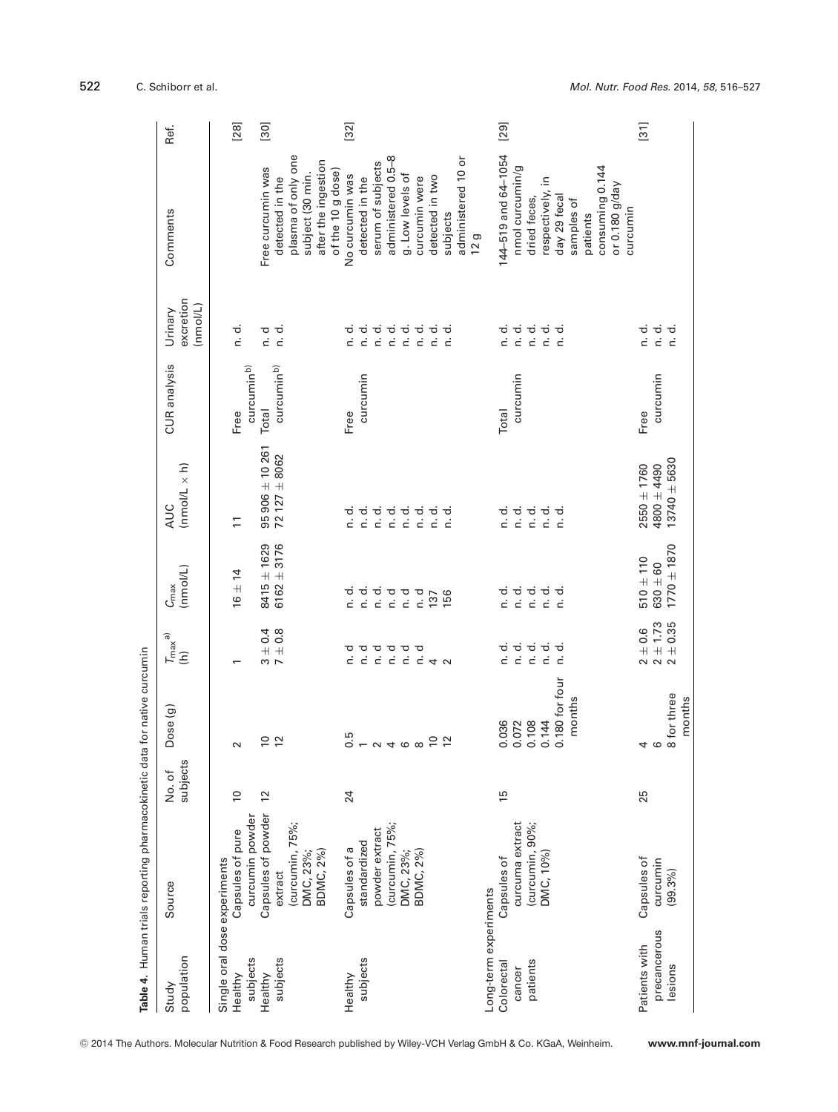|                                                           | Table 4. Human trials reporting pharmacokinetic data for native curcumin                      |                   |                                                              |                                                                              |                                              |                                                                                                                                                                                   |                                   |                                                                     |                                                                                                                     |                                    |
|-----------------------------------------------------------|-----------------------------------------------------------------------------------------------|-------------------|--------------------------------------------------------------|------------------------------------------------------------------------------|----------------------------------------------|-----------------------------------------------------------------------------------------------------------------------------------------------------------------------------------|-----------------------------------|---------------------------------------------------------------------|---------------------------------------------------------------------------------------------------------------------|------------------------------------|
| population<br>Study                                       | Source                                                                                        | subjects<br>No.of | Dose (g)                                                     | $T_{\sf max}$ a)<br>$\widehat{\epsilon}$                                     | (mmol/L)<br>$\mathcal{C}_{\mathsf{max}}$     | $(nmol/L \times h)$<br><b>AUC</b>                                                                                                                                                 | CUR analysis                      | excretion<br>(nmol/L)<br>Urinary                                    | Comments                                                                                                            | Ref.                               |
| Single oral dose experiments<br>Healthy                   | Capsules of pure                                                                              | $\overline{0}$    | $\sim$                                                       | $\overline{\phantom{0}}$                                                     | $16 \pm 14$                                  | $\overline{1}$                                                                                                                                                                    | Free                              | $\frac{d}{d}$ .                                                     |                                                                                                                     | $[28]$                             |
| subjects<br>subjects<br>Healthy                           | Capsules of powder<br>curcumin powder<br>(curcumin, 75%;<br>BDMC, 2%)<br>DMC, 23%;<br>extract | 12                | $\overline{10}$<br>$\approx$                                 | $7 + 0.4$<br>7 ± 0.8                                                         | $6162 + 3176$<br>$8415 \pm 1629$             | $95906 \pm 10261$<br>$72127 \pm 8062$                                                                                                                                             | curcuminb)<br>curcuminb)<br>Total | n. d.<br>d<br>c                                                     | plasma of only one<br>after the ingestion<br>Free curcumin was<br>subject (30 min.<br>detected in the               | $[30]$                             |
| subjects<br>Healthy                                       | powder extract<br>standardized<br>Capsules of a                                               | 24                |                                                              | р<br>О                                                                       |                                              | d.<br>c                                                                                                                                                                           | curcumin<br>Free                  |                                                                     | serum of subjects<br>of the 10 g dose)<br>No curcumin was<br>detected in the                                        | $[32]$                             |
|                                                           | (curcumin, 75%;<br>BDMC, 2%)<br>DMC, 23%;                                                     |                   | 5 – 2 4 6 8<br>$\overline{10}$<br>12                         | <del>o o o o o</del><br>cicicita                                             | dididididi<br>EEEEE<br>p. d<br>156<br>137    | $\begin{array}{ccc}\n\hline\n\bullet & \bullet & \bullet & \bullet & \bullet \\ \hline\n\bullet & \bullet & \bullet & \bullet & \bullet \\ \hline\n\end{array}$<br>n. d.<br>n. d. |                                   | dididididididididi.<br>EEEEEEE<br>n. d.                             | administered 0.5-8<br>administered 10 or<br>g. Low levels of<br>detected in two<br>curcumin were<br>subjects<br>12g |                                    |
| Long-term experiments<br>patients<br>Colorectal<br>cancer | curcuma extract<br>(curcumin, 90%;<br>DMC, 10%)<br>Capsules of                                | $\frac{5}{2}$     | 0.180 for four<br>months<br>0.072<br>0.108<br>0.144<br>0.036 | $\frac{d}{d}$<br>$\vec{a}$ .<br>$\overline{\phantom{a}}$ .<br>n. d.<br>n. d. | ਹਿੰਹ ਹੋ ਹੋ<br>ਹਿੰਹ ਹੋ ਹ                      | tititi<br>tititi<br>n. d.<br>$\vec{c}$                                                                                                                                            | curcumin<br>Total                 | tititi<br>tititi<br>n. d.<br>n. d.                                  | 144-519 and 64-1054<br>nmol curcumin/g<br>respectively, in<br>day 29 feca<br>dried feces,<br>samples of             | [29]                               |
| precancerous<br>Patients with<br>lesions                  | Capsules of<br>curcumin<br>(99.3%)                                                            | 25                | 8 for three<br>months<br>4<br>$\circ$                        | $2 \pm 0.6$<br>$2 \pm 1.73$<br>$2 \pm 0.35$                                  | $1770 \pm 1870$<br>$510 + 110$<br>$630 + 60$ | $13740 + 5630$<br>$2550 \pm 1760$<br>$4800 + 4490$                                                                                                                                | curcumin<br>Free                  | n. d.<br>$\begin{array}{c} \mathtt{d} \\ \mathtt{c} \end{array}$ is | consuming 0.144<br>or 0.180 g/day<br>curcumin<br>patients                                                           | $\begin{bmatrix} 31 \end{bmatrix}$ |

522 C. Schiborr et al. *Mol. Nutr. Food Res.* 2014, *58*, 516–527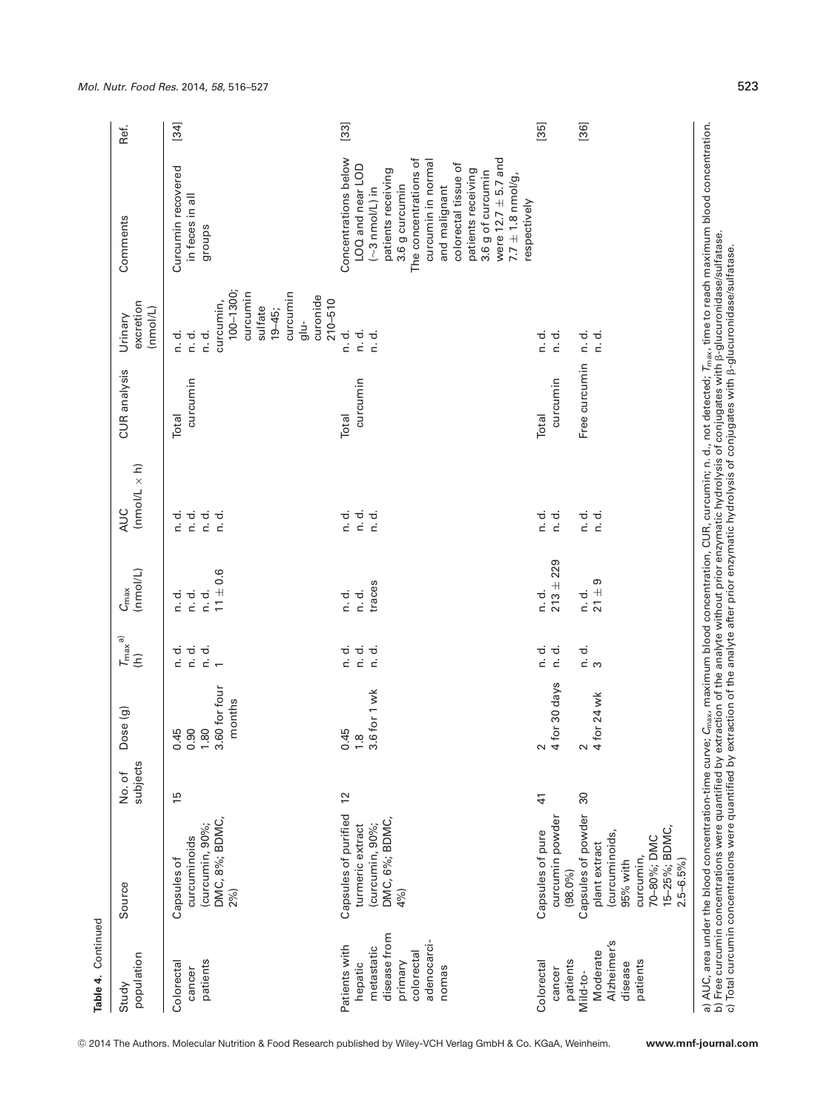| population<br>Study                                                                                     | Source                                                                                                                                       | subjects<br>No. of | Dose (g)                                        | $T_{\rm max}$ a)<br>$\widehat{\epsilon}$       | (nmol/L)<br>$C_{\text{max}}$                | $(mmol/L \times h)$<br><b>AUC</b>              | CUR analysis      | excretion<br>(nmol/L)<br>Urinary                                                                                                            | Comments                                                                                                                                                                                                                                                                                    | Ref.   |
|---------------------------------------------------------------------------------------------------------|----------------------------------------------------------------------------------------------------------------------------------------------|--------------------|-------------------------------------------------|------------------------------------------------|---------------------------------------------|------------------------------------------------|-------------------|---------------------------------------------------------------------------------------------------------------------------------------------|---------------------------------------------------------------------------------------------------------------------------------------------------------------------------------------------------------------------------------------------------------------------------------------------|--------|
| patients<br>Colorectal<br>cancer                                                                        | DMC, 8%; BDMC,<br>curcumin, 90%;<br>curcuminoids<br>Capsules of<br>2%)                                                                       | 15                 | 0.45<br>0.90<br>1.80<br>3.60 for four<br>months | $\frac{d}{d}$<br>$\vec{a}$ .<br>$\frac{d}{dx}$ | $11 + 0.6$<br>r.<br>C<br>d.<br>c<br>d.<br>c | $\frac{d}{d}$<br>d.<br>c<br>$\vec{c}$<br>n. d. | curcumin<br>Total | 100-1300;<br>curcumin<br>curcumin<br>curonide<br>curcumin,<br>sulfate<br>$19 - 45$ ;<br>glu-<br>$\vec{a}$ .<br>$\frac{d}{d}$<br>$\vec{n}$ . | Curcumin recovered<br>in feces in all<br>groups                                                                                                                                                                                                                                             | [34]   |
| disease from<br>adenocarci-<br>Patients with<br>metastatic<br>colorectal<br>primary<br>hepatic<br>nomas | Capsules of purified<br>DMC, 6%; BDMC,<br>(curcumin, 90%;<br>turmeric extract<br>4%)                                                         | $\overline{c}$     | $\frac{0.45}{1.8}$<br>3.6 for 1 wk              | $\frac{d}{dt}$<br>d.<br>c<br>$\vec{a}$ .       | traces<br>n. d.<br>$\vec{a}$ .              | $\frac{d}{dt}$<br>n.d.<br>$\vec{a}$ .          | curcumin<br>Total | $210 - 510$<br>n. d.<br>n. d.<br>ن<br>n                                                                                                     | Concentrations below<br>were $12.7 \pm 5.7$ and<br>The concentrations of<br>curcumin in normal<br>colorectal tissue of<br>LOQ and near LOD<br>patients receiving<br>patients receiving<br>3.6 g of curcumin<br>$7.7 \pm 1.8$ nmol/g,<br>3.6 g curcumin<br>and malignant<br>$(-3$ nmol/L) in | $[33]$ |
| Colorectal<br>cancer                                                                                    | curcumin powder<br>Capsules of pure                                                                                                          | $\frac{4}{3}$      | for 30 days<br>$\sim$ 4                         | n. d.<br>$\vec{c}$                             | $213 + 229$<br>$\frac{d}{d}$ .              | $\frac{d}{d}$ .<br>ਰ<br>c                      | curcumin<br>Total | n. d.<br>to.<br>D                                                                                                                           | respectively                                                                                                                                                                                                                                                                                | [35]   |
| Alzheimer's<br>Moderate<br>patients<br>patients<br>disease<br>Mild-to-                                  | Capsules of powder<br>15-25%; BDMC,<br>(curcuminoids,<br>70-80%; DMC<br>plant extract<br>curcumin,<br>$2.5 - 6.5%$<br>95% with<br>$(98.0\%)$ | $\frac{8}{3}$      | for 24 wk<br>$\sim$ 4                           | ຕ<br>ເສ                                        | $21 \pm 9$<br>$\frac{d}{d}$ .               | n. d.<br>n. d.                                 | Free curcumin     | n. d.<br>n. d.                                                                                                                              |                                                                                                                                                                                                                                                                                             | [36]   |

-<sup>C</sup> 2014 The Authors. Molecular Nutrition & Food Research published by Wiley-VCH Verlag GmbH & Co. KGaA, Weinheim. **www.mnf-journal.com**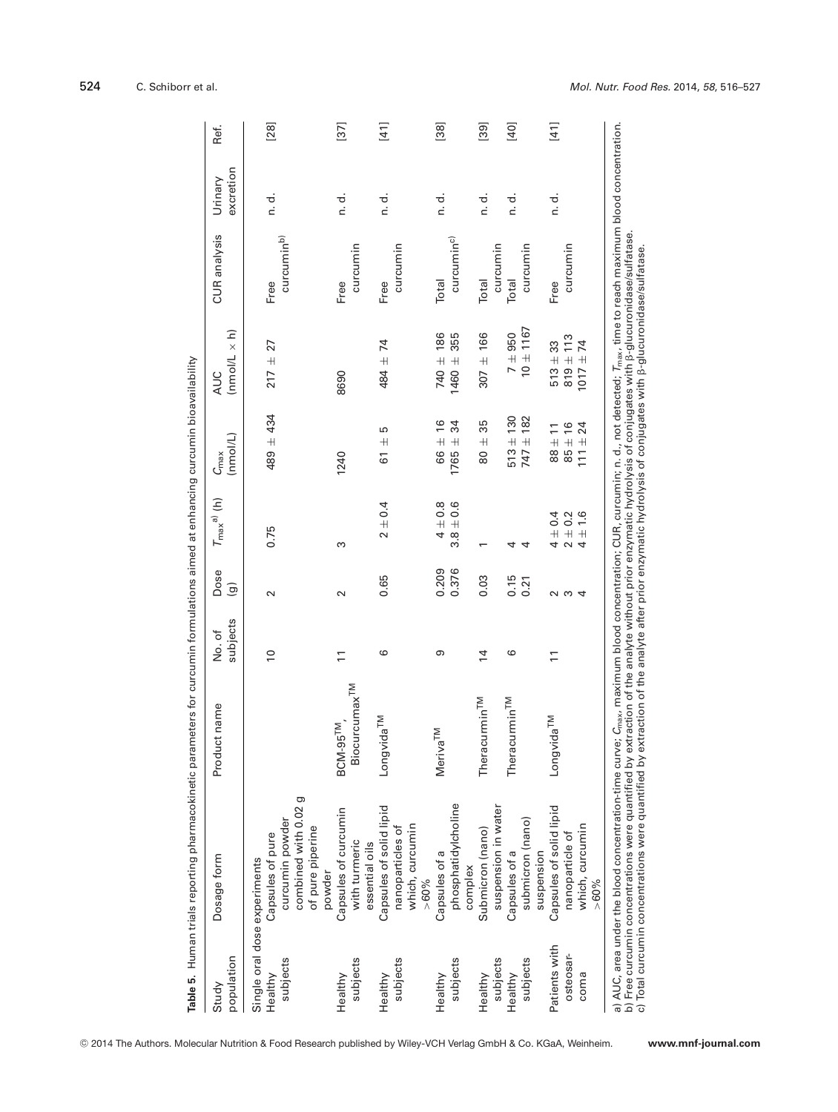| population<br>Study                                                                                                                                           | Dosage form                                                                                                                                                                                              | Product name                            | subjects<br>No.of | Dose<br>$\widehat{\mathbf{e}}$ | $T_{\text{max}}^{a)}$ (h)                  | (nmol/L)<br>$C_{\max}$                                  | $\times$ h)<br>(nmol/L<br><b>AUC</b>       | CUR analysis                    | excretion<br>Urinary | Ref.                               |
|---------------------------------------------------------------------------------------------------------------------------------------------------------------|----------------------------------------------------------------------------------------------------------------------------------------------------------------------------------------------------------|-----------------------------------------|-------------------|--------------------------------|--------------------------------------------|---------------------------------------------------------|--------------------------------------------|---------------------------------|----------------------|------------------------------------|
| subjects<br>Healthy                                                                                                                                           | combined with 0.02 g<br>curcumin powder<br>of pure piperine<br>Capsules of pure<br>Single oral dose experiments                                                                                          |                                         | $\overline{0}$    | $\sim$                         | 0.75                                       | $489 + 434$                                             | 27<br>$217 \pm$                            | curcumin <sup>b)</sup><br>Free  | n. d.                | [28]                               |
| subjects<br>Healthy                                                                                                                                           | Capsules of curcumin<br>with turmeric<br>powder                                                                                                                                                          | Biocurcumax <sup>TM</sup><br>$BCM-95TM$ | $\overline{1}$    | $\sim$                         | ω                                          | 1240                                                    | 8690                                       | curcumin<br>Free                | n. d.                | $\begin{bmatrix} 37 \end{bmatrix}$ |
| subjects<br>Healthy                                                                                                                                           | Capsules of solid lipid<br>which, curcumin<br>nanoparticles of<br>essential oils                                                                                                                         | Longvida <sup>TM</sup>                  | ဖ                 | 0.65                           | $2 \pm 0.4$                                | 5<br>$61 +$                                             | 484 ± 74                                   | curcumin<br>Free                | n. d.                | $[41]$                             |
| subjects<br>Healthy                                                                                                                                           | phosphatidylcholine<br>Capsules of a<br>$> 60\%$                                                                                                                                                         | <b>Meriva<sup>TM</sup></b>              | თ                 | 0.209<br>0.376                 | 0.6<br>$4\pm0.8$<br>$3.8 \pm$              | 16<br>34<br>$\overline{+}$<br>$1765 \pm$<br>66          | 740 ± 186<br>355<br>1460 ±                 | curcumin <sup>c)</sup><br>Total | n. d.                | $[38]$                             |
| Healthy                                                                                                                                                       | Submicron (nano)<br>complex                                                                                                                                                                              | Theracurmin <sup>TM</sup>               | $\overline{4}$    | 0.03                           |                                            | 35<br>$\overline{+}$<br>80                              | $307 + 166$                                | Total                           | $\frac{d}{d}$        | $\left[ 39\right]$                 |
| subjects<br>subjects<br>Healthy                                                                                                                               | suspension in water<br>submicron (nano)<br>Capsules of a                                                                                                                                                 | Theracurmin <sup>TM</sup>               | ဖ                 | 0.15<br>0.21                   | 4<br>4                                     | $513 \pm 130$<br>$747 \pm 182$                          | $10 \pm 1167$<br>$7 + 950$                 | curcumin<br>curcumin<br>Total   | ರ.<br>c              | [40]                               |
| Patients with<br>osteosar-<br>coma                                                                                                                            | Capsules of solid lipid<br>which, curcumin<br>nanoparticle of<br>suspension<br>$> 60\%$                                                                                                                  | Longvida <sup>TM</sup>                  | $\overline{1}$    | റ ന<br>$\overline{4}$          | $\pm 1.6$<br>$4\pm0.4$<br>$2 \pm 0.2$<br>4 | $111 \pm 24$<br>$85 \pm 16$<br>$\overline{1}$<br>$+$ 88 | $819 \pm 113$<br>$1017 + 74$<br>$513 + 33$ | curcumin<br>Free                | n. d.                | $[41]$                             |
| b) Free curcumin concentrations were quantified by extraction of the analyte without prior enzymatic hydrolysis of conjugates with β-glucuronidase/sulfatase. | a) AUC, area under the blood concentration-time curve; C <sub>max</sub> , maximum blood concentration; CUR, curcumin; n. d., not detected; T <sub>max</sub> , time to reach maximum blood concentration. |                                         |                   |                                |                                            |                                                         |                                            |                                 |                      |                                    |

c) Total curcumin concentrations were quantified by extraction of the analyte after prior enzymatic hydrolysis of conjugates with -glucuronidase/sulfatase.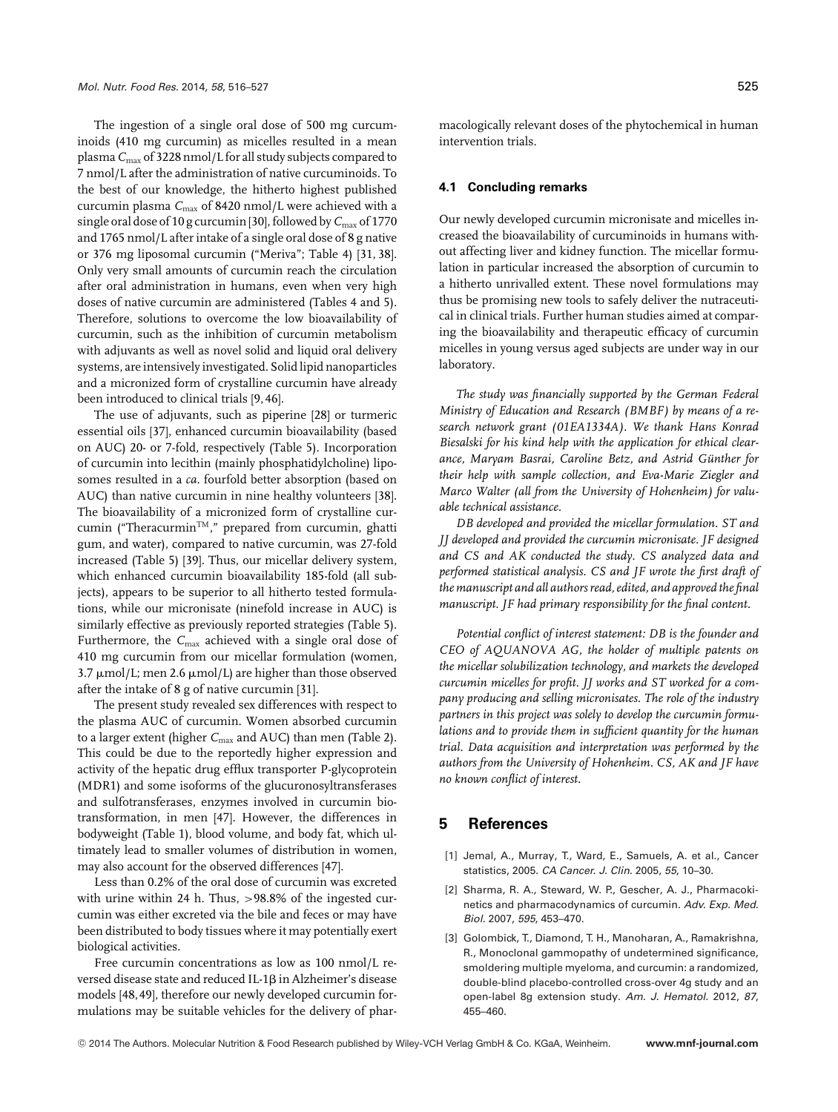The ingestion of a single oral dose of 500 mg curcuminoids (410 mg curcumin) as micelles resulted in a mean plasma*C*max of 3228 nmol/L for all study subjects compared to 7 nmol/L after the administration of native curcuminoids. To the best of our knowledge, the hitherto highest published curcumin plasma C<sub>max</sub> of 8420 nmol/L were achieved with a single oral dose of 10 g curcumin [30], followed by  $C_{\text{max}}$  of 1770 and 1765 nmol/L after intake of a single oral dose of 8 g native or 376 mg liposomal curcumin ("Meriva"; Table 4) [31, 38]. Only very small amounts of curcumin reach the circulation after oral administration in humans, even when very high doses of native curcumin are administered (Tables 4 and 5). Therefore, solutions to overcome the low bioavailability of curcumin, such as the inhibition of curcumin metabolism with adjuvants as well as novel solid and liquid oral delivery systems, are intensively investigated. Solid lipid nanoparticles and a micronized form of crystalline curcumin have already been introduced to clinical trials [9, 46].

The use of adjuvants, such as piperine [28] or turmeric essential oils [37], enhanced curcumin bioavailability (based on AUC) 20- or 7-fold, respectively (Table 5). Incorporation of curcumin into lecithin (mainly phosphatidylcholine) liposomes resulted in a *ca*. fourfold better absorption (based on AUC) than native curcumin in nine healthy volunteers [38]. The bioavailability of a micronized form of crystalline curcumin ("Theracurmin<sup>TM</sup>," prepared from curcumin, ghatti gum, and water), compared to native curcumin, was 27-fold increased (Table 5) [39]. Thus, our micellar delivery system, which enhanced curcumin bioavailability 185-fold (all subjects), appears to be superior to all hitherto tested formulations, while our micronisate (ninefold increase in AUC) is similarly effective as previously reported strategies (Table 5). Furthermore, the C<sub>max</sub> achieved with a single oral dose of 410 mg curcumin from our micellar formulation (women, 3.7  $\mu$ mol/L; men 2.6  $\mu$ mol/L) are higher than those observed after the intake of 8 g of native curcumin [31].

The present study revealed sex differences with respect to the plasma AUC of curcumin. Women absorbed curcumin to a larger extent (higher *C<sub>max</sub>* and AUC) than men (Table 2). This could be due to the reportedly higher expression and activity of the hepatic drug efflux transporter P-glycoprotein (MDR1) and some isoforms of the glucuronosyltransferases and sulfotransferases, enzymes involved in curcumin biotransformation, in men [47]. However, the differences in bodyweight (Table 1), blood volume, and body fat, which ultimately lead to smaller volumes of distribution in women, may also account for the observed differences [47].

Less than 0.2% of the oral dose of curcumin was excreted with urine within 24 h. Thus, >98.8% of the ingested curcumin was either excreted via the bile and feces or may have been distributed to body tissues where it may potentially exert biological activities.

Free curcumin concentrations as low as 100 nmol/L reversed disease state and reduced IL-18 in Alzheimer's disease models [48, 49], therefore our newly developed curcumin formulations may be suitable vehicles for the delivery of pharmacologically relevant doses of the phytochemical in human intervention trials.

#### **4.1 Concluding remarks**

Our newly developed curcumin micronisate and micelles increased the bioavailability of curcuminoids in humans without affecting liver and kidney function. The micellar formulation in particular increased the absorption of curcumin to a hitherto unrivalled extent. These novel formulations may thus be promising new tools to safely deliver the nutraceutical in clinical trials. Further human studies aimed at comparing the bioavailability and therapeutic efficacy of curcumin micelles in young versus aged subjects are under way in our laboratory.

*The study was financially supported by the German Federal Ministry of Education and Research (BMBF) by means of a research network grant (01EA1334A). We thank Hans Konrad Biesalski for his kind help with the application for ethical clearance, Maryam Basrai, Caroline Betz, and Astrid Gunther for ¨ their help with sample collection, and Eva-Marie Ziegler and Marco Walter (all from the University of Hohenheim) for valuable technical assistance.*

*DB developed and provided the micellar formulation. ST and JJ developed and provided the curcumin micronisate. JF designed and CS and AK conducted the study. CS analyzed data and performed statistical analysis. CS and JF wrote the first draft of the manuscript and all authors read, edited, and approved the final manuscript. JF had primary responsibility for the final content.*

*Potential conflict of interest statement: DB is the founder and CEO of AQUANOVA AG, the holder of multiple patents on the micellar solubilization technology, and markets the developed curcumin micelles for profit. JJ works and ST worked for a company producing and selling micronisates. The role of the industry partners in this project was solely to develop the curcumin formulations and to provide them in sufficient quantity for the human trial. Data acquisition and interpretation was performed by the authors from the University of Hohenheim. CS, AK and JF have no known conflict of interest.*

# **5 References**

- [1] Jemal, A., Murray, T., Ward, E., Samuels, A. et al., Cancer statistics, 2005. *CA Cancer. J. Clin.* 2005, *55*, 10–30.
- [2] Sharma, R. A., Steward, W. P., Gescher, A. J., Pharmacokinetics and pharmacodynamics of curcumin. *Adv. Exp. Med. Biol.* 2007, *595*, 453–470.
- [3] Golombick, T., Diamond, T. H., Manoharan, A., Ramakrishna, R., Monoclonal gammopathy of undetermined significance, smoldering multiple myeloma, and curcumin: a randomized, double-blind placebo-controlled cross-over 4g study and an open-label 8g extension study. *Am. J. Hematol.* 2012, *87*, 455–460.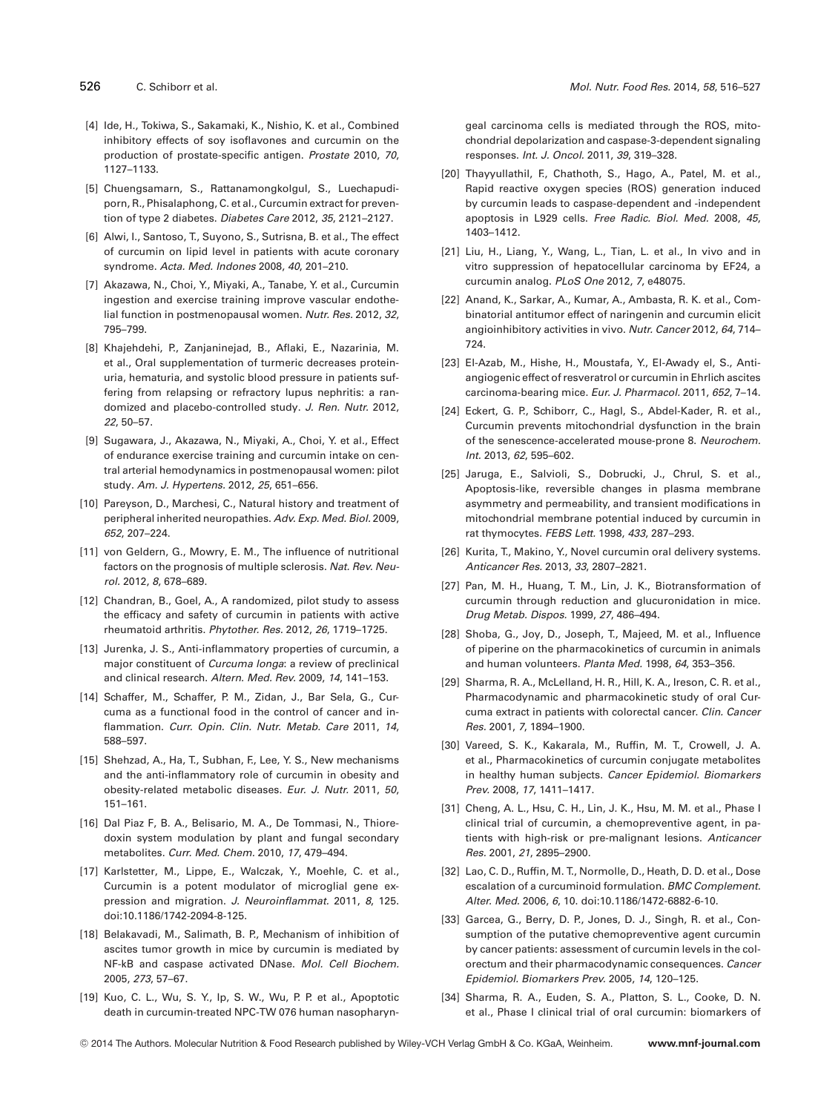- [4] Ide, H., Tokiwa, S., Sakamaki, K., Nishio, K. et al., Combined inhibitory effects of soy isoflavones and curcumin on the production of prostate-specific antigen. *Prostate* 2010, *70*, 1127–1133.
- [5] Chuengsamarn, S., Rattanamongkolgul, S., Luechapudiporn, R., Phisalaphong, C. et al., Curcumin extract for prevention of type 2 diabetes. *Diabetes Care* 2012, *35*, 2121–2127.
- [6] Alwi, I., Santoso, T., Suyono, S., Sutrisna, B. et al., The effect of curcumin on lipid level in patients with acute coronary syndrome. *Acta. Med. Indones* 2008, *40*, 201–210.
- [7] Akazawa, N., Choi, Y., Miyaki, A., Tanabe, Y. et al., Curcumin ingestion and exercise training improve vascular endothelial function in postmenopausal women. *Nutr. Res.* 2012, *32*, 795–799.
- [8] Khajehdehi, P., Zanjaninejad, B., Aflaki, E., Nazarinia, M. et al., Oral supplementation of turmeric decreases proteinuria, hematuria, and systolic blood pressure in patients suffering from relapsing or refractory lupus nephritis: a randomized and placebo-controlled study. *J. Ren. Nutr.* 2012, *22*, 50–57.
- [9] Sugawara, J., Akazawa, N., Miyaki, A., Choi, Y. et al., Effect of endurance exercise training and curcumin intake on central arterial hemodynamics in postmenopausal women: pilot study. *Am. J. Hypertens.* 2012, *25*, 651–656.
- [10] Pareyson, D., Marchesi, C., Natural history and treatment of peripheral inherited neuropathies. *Adv. Exp. Med. Biol.* 2009, *652*, 207–224.
- [11] von Geldern, G., Mowry, E. M., The influence of nutritional factors on the prognosis of multiple sclerosis. *Nat. Rev. Neurol.* 2012, *8*, 678–689.
- [12] Chandran, B., Goel, A., A randomized, pilot study to assess the efficacy and safety of curcumin in patients with active rheumatoid arthritis. *Phytother. Res.* 2012, *26*, 1719–1725.
- [13] Jurenka, J. S., Anti-inflammatory properties of curcumin, a major constituent of *Curcuma longa*: a review of preclinical and clinical research. *Altern. Med. Rev.* 2009, *14*, 141–153.
- [14] Schaffer, M., Schaffer, P. M., Zidan, J., Bar Sela, G., Curcuma as a functional food in the control of cancer and inflammation. *Curr. Opin. Clin. Nutr. Metab. Care* 2011, *14*, 588–597.
- [15] Shehzad, A., Ha, T., Subhan, F., Lee, Y. S., New mechanisms and the anti-inflammatory role of curcumin in obesity and obesity-related metabolic diseases. *Eur. J. Nutr.* 2011, *50*, 151–161.
- [16] Dal Piaz F, B. A., Belisario, M. A., De Tommasi, N., Thioredoxin system modulation by plant and fungal secondary metabolites. *Curr. Med. Chem.* 2010, *17*, 479–494.
- [17] Karlstetter, M., Lippe, E., Walczak, Y., Moehle, C. et al., Curcumin is a potent modulator of microglial gene expression and migration. *J. Neuroinflammat.* 2011, *8*, 125. doi:10.1186/1742-2094-8-125.
- [18] Belakavadi, M., Salimath, B. P., Mechanism of inhibition of ascites tumor growth in mice by curcumin is mediated by NF-kB and caspase activated DNase. *Mol. Cell Biochem.* 2005, *273*, 57–67.
- [19] Kuo, C. L., Wu, S. Y., Ip, S. W., Wu, P. P. et al., Apoptotic death in curcumin-treated NPC-TW 076 human nasopharyn-

geal carcinoma cells is mediated through the ROS, mitochondrial depolarization and caspase-3-dependent signaling responses. *Int. J. Oncol.* 2011, *39*, 319–328.

- [20] Thayyullathil, F., Chathoth, S., Hago, A., Patel, M. et al., Rapid reactive oxygen species (ROS) generation induced by curcumin leads to caspase-dependent and -independent apoptosis in L929 cells. *Free Radic. Biol. Med.* 2008, *45*, 1403–1412.
- [21] Liu, H., Liang, Y., Wang, L., Tian, L. et al., In vivo and in vitro suppression of hepatocellular carcinoma by EF24, a curcumin analog. *PLoS One* 2012, *7*, e48075.
- [22] Anand, K., Sarkar, A., Kumar, A., Ambasta, R. K. et al., Combinatorial antitumor effect of naringenin and curcumin elicit angioinhibitory activities in vivo. *Nutr. Cancer* 2012, *64*, 714– 724.
- [23] El-Azab, M., Hishe, H., Moustafa, Y., El-Awady el, S., Antiangiogenic effect of resveratrol or curcumin in Ehrlich ascites carcinoma-bearing mice. *Eur. J. Pharmacol.* 2011, *652*, 7–14.
- [24] Eckert, G. P., Schiborr, C., Hagl, S., Abdel-Kader, R. et al., Curcumin prevents mitochondrial dysfunction in the brain of the senescence-accelerated mouse-prone 8. *Neurochem. Int.* 2013, *62*, 595–602.
- [25] Jaruga, E., Salvioli, S., Dobrucki, J., Chrul, S. et al., Apoptosis-like, reversible changes in plasma membrane asymmetry and permeability, and transient modifications in mitochondrial membrane potential induced by curcumin in rat thymocytes. *FEBS Lett.* 1998, *433*, 287–293.
- [26] Kurita, T., Makino, Y., Novel curcumin oral delivery systems. *Anticancer Res.* 2013, *33*, 2807–2821.
- [27] Pan, M. H., Huang, T. M., Lin, J. K., Biotransformation of curcumin through reduction and glucuronidation in mice. *Drug Metab. Dispos.* 1999, *27*, 486–494.
- [28] Shoba, G., Joy, D., Joseph, T., Majeed, M. et al., Influence of piperine on the pharmacokinetics of curcumin in animals and human volunteers. *Planta Med.* 1998, *64*, 353–356.
- [29] Sharma, R. A., McLelland, H. R., Hill, K. A., Ireson, C. R. et al., Pharmacodynamic and pharmacokinetic study of oral Curcuma extract in patients with colorectal cancer. *Clin. Cancer Res.* 2001, *7*, 1894–1900.
- [30] Vareed, S. K., Kakarala, M., Ruffin, M. T., Crowell, J. A. et al., Pharmacokinetics of curcumin conjugate metabolites in healthy human subjects. *Cancer Epidemiol. Biomarkers Prev.* 2008, *17*, 1411–1417.
- [31] Cheng, A. L., Hsu, C. H., Lin, J. K., Hsu, M. M. et al., Phase I clinical trial of curcumin, a chemopreventive agent, in patients with high-risk or pre-malignant lesions. *Anticancer Res.* 2001, *21*, 2895–2900.
- [32] Lao, C. D., Ruffin, M. T., Normolle, D., Heath, D. D. et al., Dose escalation of a curcuminoid formulation. *BMC Complement. Alter. Med.* 2006, *6*, 10. doi:10.1186/1472-6882-6-10.
- [33] Garcea, G., Berry, D. P., Jones, D. J., Singh, R. et al., Consumption of the putative chemopreventive agent curcumin by cancer patients: assessment of curcumin levels in the colorectum and their pharmacodynamic consequences. *Cancer Epidemiol. Biomarkers Prev.* 2005, *14*, 120–125.
- [34] Sharma, R. A., Euden, S. A., Platton, S. L., Cooke, D. N. et al., Phase I clinical trial of oral curcumin: biomarkers of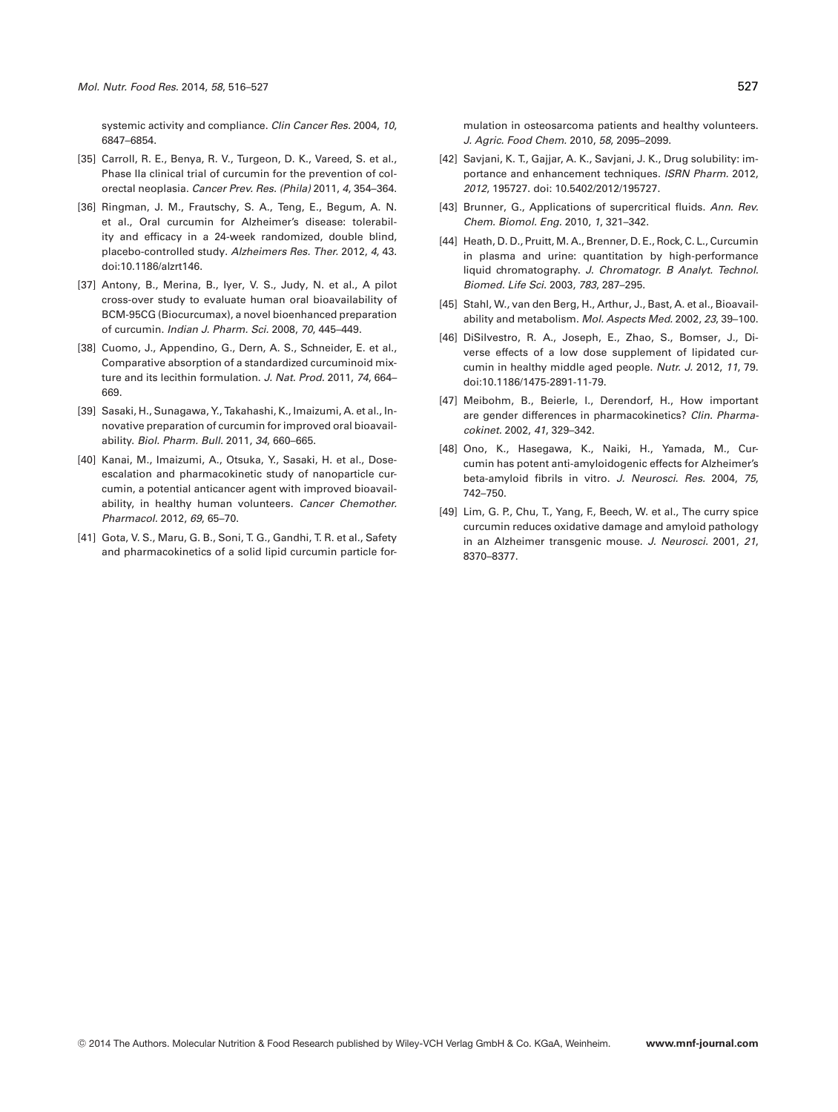systemic activity and compliance. *Clin Cancer Res.* 2004, *10*, 6847–6854.

- [35] Carroll, R. E., Benya, R. V., Turgeon, D. K., Vareed, S. et al., Phase IIa clinical trial of curcumin for the prevention of colorectal neoplasia. *Cancer Prev. Res. (Phila)* 2011, *4*, 354–364.
- [36] Ringman, J. M., Frautschy, S. A., Teng, E., Begum, A. N. et al., Oral curcumin for Alzheimer's disease: tolerability and efficacy in a 24-week randomized, double blind, placebo-controlled study. *Alzheimers Res. Ther.* 2012, *4*, 43. doi:10.1186/alzrt146.
- [37] Antony, B., Merina, B., Iyer, V. S., Judy, N. et al., A pilot cross-over study to evaluate human oral bioavailability of BCM-95CG (Biocurcumax), a novel bioenhanced preparation of curcumin. *Indian J. Pharm. Sci.* 2008, *70*, 445–449.
- [38] Cuomo, J., Appendino, G., Dern, A. S., Schneider, E. et al., Comparative absorption of a standardized curcuminoid mixture and its lecithin formulation. *J. Nat. Prod.* 2011, *74*, 664– 669.
- [39] Sasaki, H., Sunagawa, Y., Takahashi, K., Imaizumi, A. et al., Innovative preparation of curcumin for improved oral bioavailability. *Biol. Pharm. Bull.* 2011, *34*, 660–665.
- [40] Kanai, M., Imaizumi, A., Otsuka, Y., Sasaki, H. et al., Doseescalation and pharmacokinetic study of nanoparticle curcumin, a potential anticancer agent with improved bioavailability, in healthy human volunteers. *Cancer Chemother. Pharmacol.* 2012, *69*, 65–70.
- [41] Gota, V. S., Maru, G. B., Soni, T. G., Gandhi, T. R. et al., Safety and pharmacokinetics of a solid lipid curcumin particle for-

mulation in osteosarcoma patients and healthy volunteers. *J. Agric. Food Chem.* 2010, *58*, 2095–2099.

- [42] Savjani, K. T., Gajjar, A. K., Savjani, J. K., Drug solubility: importance and enhancement techniques. *ISRN Pharm.* 2012, *2012*, 195727. doi: 10.5402/2012/195727.
- [43] Brunner, G., Applications of supercritical fluids. *Ann. Rev. Chem. Biomol. Eng.* 2010, *1*, 321–342.
- [44] Heath, D. D., Pruitt, M. A., Brenner, D. E., Rock, C. L., Curcumin in plasma and urine: quantitation by high-performance liquid chromatography. *J. Chromatogr. B Analyt. Technol. Biomed. Life Sci.* 2003, *783*, 287–295.
- [45] Stahl, W., van den Berg, H., Arthur, J., Bast, A. et al., Bioavailability and metabolism. *Mol. Aspects Med.* 2002, *23*, 39–100.
- [46] DiSilvestro, R. A., Joseph, E., Zhao, S., Bomser, J., Diverse effects of a low dose supplement of lipidated curcumin in healthy middle aged people. *Nutr. J.* 2012, *11*, 79. doi:10.1186/1475-2891-11-79.
- [47] Meibohm, B., Beierle, I., Derendorf, H., How important are gender differences in pharmacokinetics? *Clin. Pharmacokinet.* 2002, *41*, 329–342.
- [48] Ono, K., Hasegawa, K., Naiki, H., Yamada, M., Curcumin has potent anti-amyloidogenic effects for Alzheimer's beta-amyloid fibrils in vitro. *J. Neurosci. Res.* 2004, *75*, 742–750.
- [49] Lim, G. P., Chu, T., Yang, F., Beech, W. et al., The curry spice curcumin reduces oxidative damage and amyloid pathology in an Alzheimer transgenic mouse. *J. Neurosci.* 2001, *21*, 8370–8377.